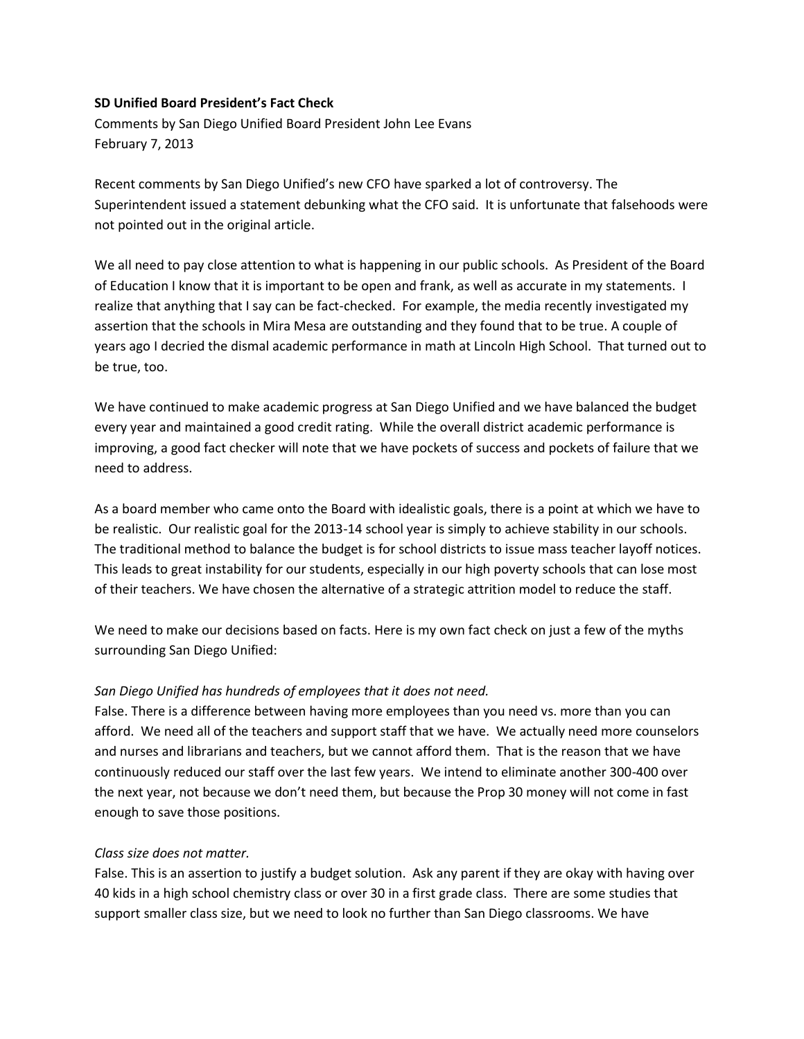### **SD Unified Board President's Fact Check**

Comments by San Diego Unified Board President John Lee Evans February 7, 2013

Recent comments by San Diego Unified's new CFO have sparked a lot of controversy. The Superintendent issued a statement debunking what the CFO said. It is unfortunate that falsehoods were not pointed out in the original article.

We all need to pay close attention to what is happening in our public schools. As President of the Board of Education I know that it is important to be open and frank, as well as accurate in my statements. I realize that anything that I say can be fact-checked. For example, the media recently investigated my assertion that the schools in Mira Mesa are outstanding and they found that to be true. A couple of years ago I decried the dismal academic performance in math at Lincoln High School. That turned out to be true, too.

We have continued to make academic progress at San Diego Unified and we have balanced the budget every year and maintained a good credit rating. While the overall district academic performance is improving, a good fact checker will note that we have pockets of success and pockets of failure that we need to address.

As a board member who came onto the Board with idealistic goals, there is a point at which we have to be realistic. Our realistic goal for the 2013-14 school year is simply to achieve stability in our schools. The traditional method to balance the budget is for school districts to issue mass teacher layoff notices. This leads to great instability for our students, especially in our high poverty schools that can lose most of their teachers. We have chosen the alternative of a strategic attrition model to reduce the staff.

We need to make our decisions based on facts. Here is my own fact check on just a few of the myths surrounding San Diego Unified:

#### *San Diego Unified has hundreds of employees that it does not need.*

False. There is a difference between having more employees than you need vs. more than you can afford. We need all of the teachers and support staff that we have. We actually need more counselors and nurses and librarians and teachers, but we cannot afford them. That is the reason that we have continuously reduced our staff over the last few years. We intend to eliminate another 300-400 over the next year, not because we don't need them, but because the Prop 30 money will not come in fast enough to save those positions.

#### *Class size does not matter.*

False. This is an assertion to justify a budget solution. Ask any parent if they are okay with having over 40 kids in a high school chemistry class or over 30 in a first grade class. There are some studies that support smaller class size, but we need to look no further than San Diego classrooms. We have